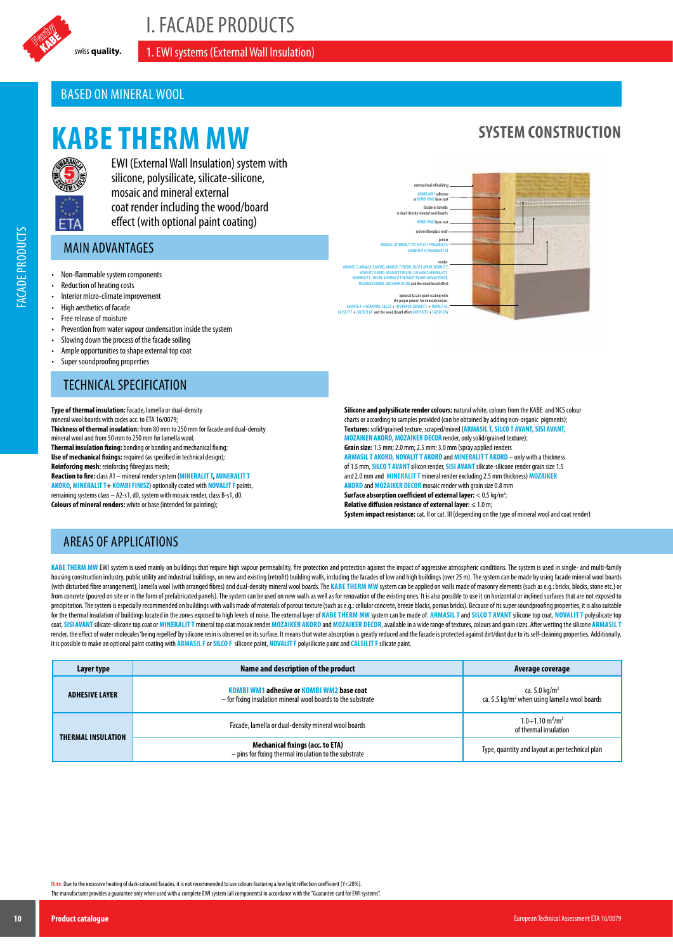

I. FACADE PRODUCTS

swiss quality. **1. EWI systems (External Wall Insulation)** 

## BASED ON MINERAL WOOL

# **KABE THERM MW**



FACADE PRODUCTS

**FACADE PRODUCTS** 

EWI (External Wall Insulation) system with silicone, polysilicate, silicate-silicone, mosaic and mineral external coat render including the wood/board effect (with optional paint coating)

## MAIN ADVANTAGES

- Non-flammable system components
- Reduction of heating costs
- Interior micro-climate improvement
- High aesthetics of facade
- Free release of moisture
- Prevention from water vapour condensation inside the system
- Slowing down the process of the facade soiling
- Ample opportunities to shape external top coat
- Super soundproofing properties

### TECHNICAL SPECIFICATION

**Type of thermal insulation:** Facade, lamella or dual-density mineral wool boards with codes acc. to ETA 16/0079; **Thickness of thermal insulation:** from 80 mm to 250 mm for facade and dual-density mineral wool and from 50 mm to 250 mm for lamella wool; **Thermal insulation fixing:** bonding or bonding and mechanical fixing; **Use of mechanical fixings:** required (as specified in technical design); **Reinforcing mesh:** reinforcing fibreglass mesh; **Reaction to fire:** class A1 – mineral render system (**MINERALIT T, MINERALIT T AKORD, MINERALIT T+ KOMBI FINISZ**) optionally coated with **NOVALIT F** paints, remaining systems class – A2-s1, d0, system with mosaic render, class B-s1, d0. **Colours of mineral renders:** white or base (intended for painting);

optional facade paint coating with the proper primer for mineral mortars: ARMASIL F+HYDROPOR, SILCO F + HYDROPOR, NOVALIT F + NOVALIT GF **LIT GF** and the w render ARMASIL T, ARMASIL T AKORD, ARMASIL T DECOR, SILCO T AVANT, NOVALIT T, NOVALIT T AKORD, NOVALITT T DECOR, SISI AVANT, MINERALIT T, MINERALIT T - DECOR, MINERALIT T/NOVALIT TMODELOWANY DECOR, MOZAIKER AKORD, MOZAIKER DECOR and the wood/board effect prime ARMASIL GT/NOVALIT GT/ SISI GT/ PERMURO GT/ MINERALIT GT/MARMURT GT KOMBI WM2 base coat KOMBI WM1 adhesive or KOMBI WM2 base coat external wall of building system fibreglass mesh facade or lamella or dual-density mineral wool boards

**SYSTEM CONSTRUCTION**

**Silicone and polysilicate render colours:** natural white, colours from the KABE and NCS colour charts or according to samples provided (can be obtained by adding non-organic pigments); **Textures:** solid/grained texture, scraped/mixed (**ARMASIL T, SILCO T AVANT, SISI AVANT, MOZAIKER AKORD, MOZAIKER DECOR** render, only solid/grained texture); **Grain size:** 1.5 mm; 2.0 mm; 2.5 mm; 3.0 mm (spray applied renders **ARMASIL T AKORD, NOVALIT T AKORD** and**MINERALIT T AKORD** – only with a thickness of 1.5 mm, **SILCO T AVANT** silicon render, **SISI AVANT** silicate-silicone render grain size 1.5 and 2.0 mm and **MINERALIT T** mineral render excluding 2.5 mm thickness) **MOZAIKER AKORD** and **MOZAIKER DECOR** mosaic render with grain size 0.8 mm **Surface absorption coefficient of external layer:**  $<$  0.5 kg/m<sup>2</sup>; ; **Relative diffusion resistance of external layer:** ≤ 1.0 m;

**System impact resistance:** cat. II or cat. III (depending on the type of mineral wool and coat render)

#### AREAS OF APPLICATIONS

KABE THERM MW EWI system is used mainly on buildings that require high vapour permeability, fire protection and protection against the impact of aggressive atmospheric conditions. The system is used in single- and multi-fa housing construction industry, public utility and industrial buildings, on new and existing (retrofit) building walls, including the facades of low and high buildings (sover 25 m). The system can be made by using facade mi (with disturbed fibre arrangement), lamella wool (with arranged fibres) and dual-density mineral wool boards. The KABE THERM MW system can be applied on walls made of masonry elements (such as e.g.: bricks, blocks, stone e from concrete (poured on site or in the form of prefabricated panels). The system can be used on new walls as well as for renovation of the existing ones. It is also possible to use it on horizontal or inclined surfaces th precipitation. The system is especially recommended on buildings with walls made of materials of porous texture (such as e.g.: cellular concrete, breeze blocks, porous bricks). Because of its super soundproofing properties for the thermal insulation of buildings located in the zones exposed to high levels of noise. The external layer of KABE THERM MW system can be made of: ARMASILT and SILCO T AVANT silicone top coat, NOVALIT T polysilicate coat, SISI AVANT silicate-silicone top coat or MINERALIT T mineral top coat mosaic render MOZAIKER AKORD and MOZAIKER DECOR, available in a wide range of textures, colours and grain sizes. After wetting the silicone ARMASI render, the effect of water molecules' being repelled' by silicone resin is observed on its surface. It means that water absorption is greatly reduced and the facade is protected against dirt/dust due to its self-cleaning it is possible to make an optional paint coating with **ARMASIL F** or **SILCO F** silicone paint, **NOVALIT F** polysilicate paint and **CALSILIT F** silicate paint.

| Layer type         | Name and description of the product                                                                       | Average coverage                                                                      |
|--------------------|-----------------------------------------------------------------------------------------------------------|---------------------------------------------------------------------------------------|
| ADHESIVE LAYER     | KOMBI WM1 adhesive or KOMBI WM2 base coat<br>- for fixing insulation mineral wool boards to the substrate | ca. 5.0 kg/m <sup>2</sup><br>ca. 5.5 kg/m <sup>2</sup> when using lamella wool boards |
| THERMAL INSULATION | Facade, lamella or dual-density mineral wool boards                                                       | $1.0 \div 1.10 \text{ m}^2/\text{m}^2$<br>of thermal insulation                       |
|                    | <b>Mechanical fixings (acc. to ETA)</b><br>- pins for fixing thermal insulation to the substrate          | Type, quantity and layout as per technical plan                                       |

Note: Due to the excessive heating of dark-coloured facades, it is not recommended to use colours featuring a low light reflection coefficient (Y<20%).

The manufacturer provides a guarantee only when used with a complete EWI system (all components) in accordance with the "Guarantee card for EWI systems".